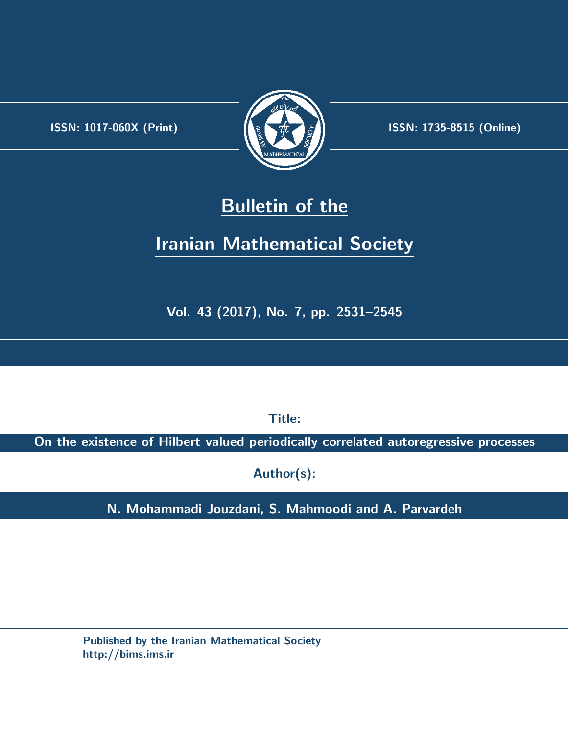.



**ISSN:** 1017-060X (Print)  $\left\{\begin{matrix} \frac{1}{2} & \frac{1}{2} & \frac{1}{2} \\ \frac{1}{2} & \frac{1}{2} & \frac{1}{2} \end{matrix}\right\}$  ISSN: 1735-8515 (Online)

# **Bulletin of the**

# **Iranian Mathematical Society**

**Vol. 43 (2017), No. 7, pp. 2531–2545**

**Title:**

**On the existence of Hilbert valued periodically correlated autoregressive processes**

**Author(s):**

**N. Mohammadi Jouzdani, S. Mahmoodi and A. Parvardeh**

**Published by the Iranian Mathematical Society http://bims.ims.ir**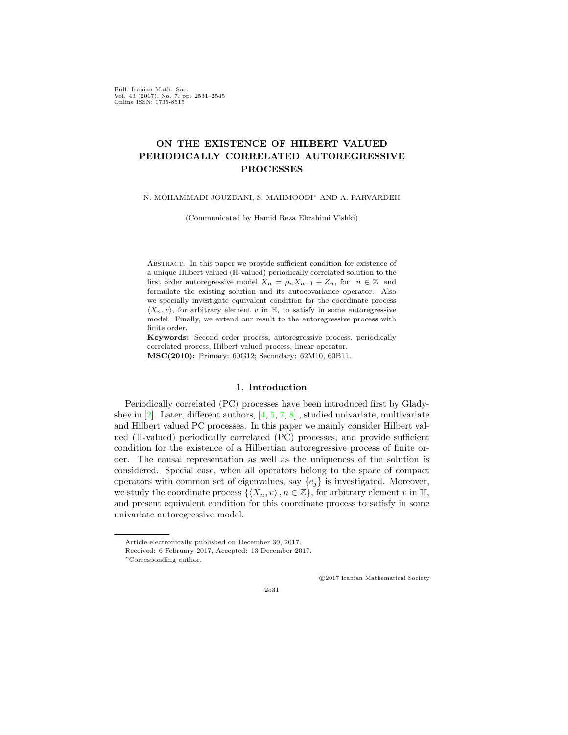Bull. Iranian Math. Soc. Vol. 43 (2017), No. 7, pp. 2531–2545 Online ISSN: 1735-8515

# **ON THE EXISTENCE OF HILBERT VALUED PERIODICALLY CORRELATED AUTOREGRESSIVE PROCESSES**

### N. MOHAMMADI JOUZDANI, S. MAHMOODI*∗* AND A. PARVARDEH

(Communicated by Hamid Reza Ebrahimi Vishki)

Abstract. In this paper we provide sufficient condition for existence of a unique Hilbert valued (H-valued) periodically correlated solution to the first order autoregressive model  $X_n = \rho_n X_{n-1} + Z_n$ , for  $n \in \mathbb{Z}$ , and formulate the existing solution and its autocovariance operator. Also we specially investigate equivalent condition for the coordinate process  $\langle X_n, v \rangle$ , for arbitrary element *v* in  $\mathbb{H}$ , to satisfy in some autoregressive model. Finally, we extend our result to the autoregressive process with finite order.

**Keywords:** Second order process, autoregressive process, periodically correlated process, Hilbert valued process, linear operator. **MSC(2010):** Primary: 60G12; Secondary: 62M10, 60B11.

### 1. **Introduction**

Periodically correlated (PC) processes have been introduced first by Gladyshev in  $[2]$  $[2]$ . Later, different authors,  $[4, 5, 7, 8]$  $[4, 5, 7, 8]$  $[4, 5, 7, 8]$  $[4, 5, 7, 8]$  $[4, 5, 7, 8]$  $[4, 5, 7, 8]$  $[4, 5, 7, 8]$ , studied univariate, multivariate and Hilbert valued PC processes. In this paper we mainly consider Hilbert valued (H-valued) periodically correlated (PC) processes, and provide sufficient condition for the existence of a Hilbertian autoregressive process of finite order. The causal representation as well as the uniqueness of the solution is considered. Special case, when all operators belong to the space of compact operators with common set of eigenvalues, say  ${e_i}$  is investigated. Moreover, we study the coordinate process  $\{\langle X_n, v \rangle, n \in \mathbb{Z}\},\$  for arbitrary element *v* in  $\mathbb{H},\$ and present equivalent condition for this coordinate process to satisfy in some univariate autoregressive model.

*⃝*c 2017 Iranian Mathematical Society

Article electronically published on December 30, 2017.

Received: 6 February 2017, Accepted: 13 December 2017.

*<sup>∗</sup>*Corresponding author.

<sup>2531</sup>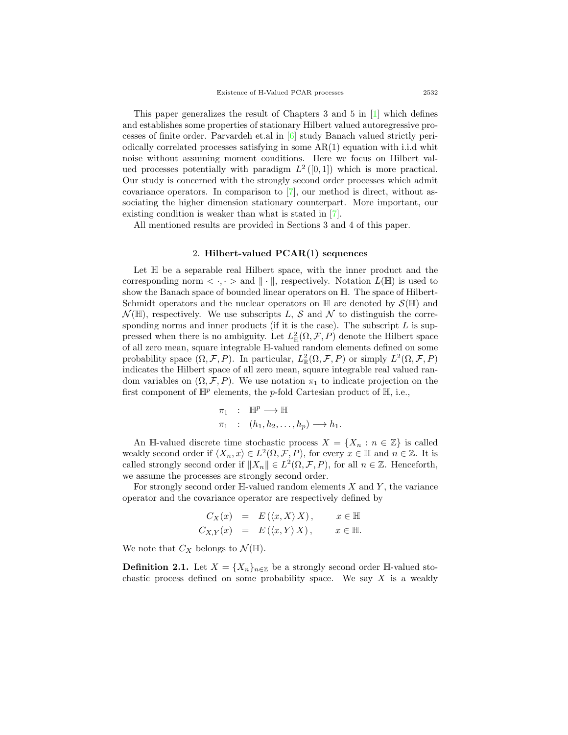This paper generalizes the result of Chapters 3 and 5 in  $[1]$  $[1]$  which defines and establishes some properties of stationary Hilbert valued autoregressive processes of finite order. Parvardeh et.al in [\[6](#page-15-6)] study Banach valued strictly periodically correlated processes satisfying in some AR(1) equation with i.i.d whit noise without assuming moment conditions. Here we focus on Hilbert valued processes potentially with paradigm  $L^2([0,1])$  which is more practical. Our study is concerned with the strongly second order processes which admit covariance operators. In comparison to [\[7](#page-15-3)], our method is direct, without associating the higher dimension stationary counterpart. More important, our existing condition is weaker than what is stated in [[7](#page-15-3)].

All mentioned results are provided in Sections 3 and 4 of this paper.

## 2. **Hilbert-valued PCAR(**1**) sequences**

Let  $\mathbb H$  be a separable real Hilbert space, with the inner product and the corresponding norm  $\langle \cdot, \cdot \rangle$  and  $|| \cdot ||$ , respectively. Notation  $L(\mathbb{H})$  is used to show the Banach space of bounded linear operators on H. The space of Hilbert-Schmidt operators and the nuclear operators on  $\mathbb H$  are denoted by  $\mathcal{S}(\mathbb H)$  and  $\mathcal{N}(\mathbb{H})$ , respectively. We use subscripts *L*, *S* and  $\mathcal{N}$  to distinguish the corresponding norms and inner products (if it is the case). The subscript *L* is suppressed when there is no ambiguity. Let  $L^2_{\mathbb{H}}(\Omega, \mathcal{F}, P)$  denote the Hilbert space of all zero mean, square integrable H-valued random elements defined on some probability space  $(\Omega, \mathcal{F}, P)$ . In particular,  $L^2_{\mathbb{R}}(\Omega, \mathcal{F}, P)$  or simply  $L^2(\Omega, \mathcal{F}, P)$ indicates the Hilbert space of all zero mean, square integrable real valued random variables on  $(\Omega, \mathcal{F}, P)$ . We use notation  $\pi_1$  to indicate projection on the first component of  $\mathbb{H}^p$  elements, the *p*-fold Cartesian product of  $\mathbb{H}$ , i.e.,

$$
\begin{aligned}\n\pi_1 & \colon & \mathbb{H}^p \longrightarrow \mathbb{H} \\
\pi_1 & \colon & (h_1, h_2, \dots, h_p) \longrightarrow h_1.\n\end{aligned}
$$

An H-valued discrete time stochastic process  $X = \{X_n : n \in \mathbb{Z}\}\)$  is called weakly second order if  $\langle X_n, x \rangle \in L^2(\Omega, \mathcal{F}, P)$ , for every  $x \in \mathbb{H}$  and  $n \in \mathbb{Z}$ . It is called strongly second order if  $||X_n|| \in L^2(\Omega, \mathcal{F}, P)$ , for all  $n \in \mathbb{Z}$ . Henceforth, we assume the processes are strongly second order.

For strongly second order H-valued random elements *X* and *Y* , the variance operator and the covariance operator are respectively defined by

$$
C_X(x) = E(\langle x, X \rangle X), \quad x \in \mathbb{H}
$$
  

$$
C_{X,Y}(x) = E(\langle x, Y \rangle X), \quad x \in \mathbb{H}.
$$

We note that  $C_X$  belongs to  $\mathcal{N}(\mathbb{H})$ .

**Definition 2.1.** Let  $X = \{X_n\}_{n \in \mathbb{Z}}$  be a strongly second order H-valued stochastic process defined on some probability space. We say *X* is a weakly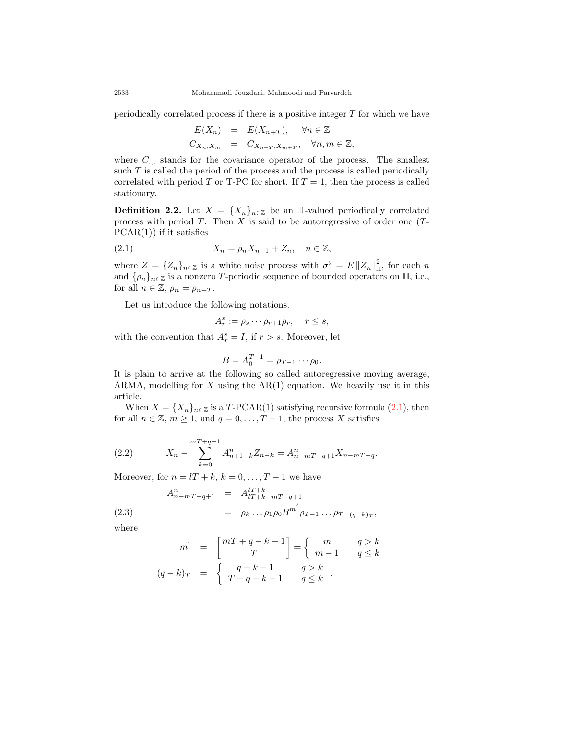periodically correlated process if there is a positive integer *T* for which we have

$$
E(X_n) = E(X_{n+T}), \quad \forall n \in \mathbb{Z}
$$
  

$$
C_{X_n, X_m} = C_{X_{n+T}, X_{m+T}}, \quad \forall n, m \in \mathbb{Z},
$$

where  $C_{\ldots}$  stands for the covariance operator of the process. The smallest such *T* is called the period of the process and the process is called periodically correlated with period *T* or T-PC for short. If  $T = 1$ , then the process is called stationary.

**Definition 2.2.** Let  $X = \{X_n\}_{n \in \mathbb{Z}}$  be an H-valued periodically correlated process with period *T*. Then *X* is said to be autoregressive of order one (*T*- $PCAR(1)$  if it satisfies

$$
(2.1) \t\t X_n = \rho_n X_{n-1} + Z_n, \quad n \in \mathbb{Z},
$$

where  $Z = \{Z_n\}_{n \in \mathbb{Z}}$  is a white noise process with  $\sigma^2 = E ||Z_n||_{\mathbb{H}}^2$  $\frac{2}{\mathbb{H}},$  for each *n* and  $\{\rho_n\}_{n\in\mathbb{Z}}$  is a nonzero *T*-periodic sequence of bounded operators on  $\mathbb{H}$ , i.e., for all  $n \in \mathbb{Z}$ ,  $\rho_n = \rho_{n+T}$ .

Let us introduce the following notations.

<span id="page-3-0"></span>
$$
A_r^s := \rho_s \cdots \rho_{r+1} \rho_r, \quad r \le s,
$$

with the convention that  $A_r^s = I$ , if  $r > s$ . Moreover, let

$$
B = A_0^{T-1} = \rho_{T-1} \cdots \rho_0.
$$

It is plain to arrive at the following so called autoregressive moving average, ARMA, modelling for *X* using the AR(1) equation. We heavily use it in this article.

When  $X = \{X_n\}_{n \in \mathbb{Z}}$  is a *T*-PCAR(1) satisfying recursive formula ([2.1\)](#page-3-0), then for all  $n \in \mathbb{Z}$ ,  $m \geq 1$ , and  $q = 0, \ldots, T-1$ , the process *X* satisfies

(2.2) 
$$
X_n - \sum_{k=0}^{m+q-1} A_{n+1-k}^n Z_{n-k} = A_{n-m}^n T_{-q+1} X_{n-m} T_{-q}.
$$

Moreover, for  $n = lT + k$ ,  $k = 0, \ldots, T - 1$  we have

(2.3) 
$$
A_{n-mT-q+1}^{n} = A_{lT+k-mT-q+1}^{lT+k}
$$

$$
= \rho_{k} \dots \rho_{1}\rho_{0}B^{m'}\rho_{T-1}\dots \rho_{T-(q-k)T},
$$

where

<span id="page-3-1"></span>
$$
m' = \left[\frac{mT+q-k-1}{T}\right] = \begin{cases} m & q > k \\ m-1 & q \le k \end{cases}
$$

$$
(q-k)_T = \begin{cases} q-k-1 & q > k \\ T+q-k-1 & q \le k \end{cases}.
$$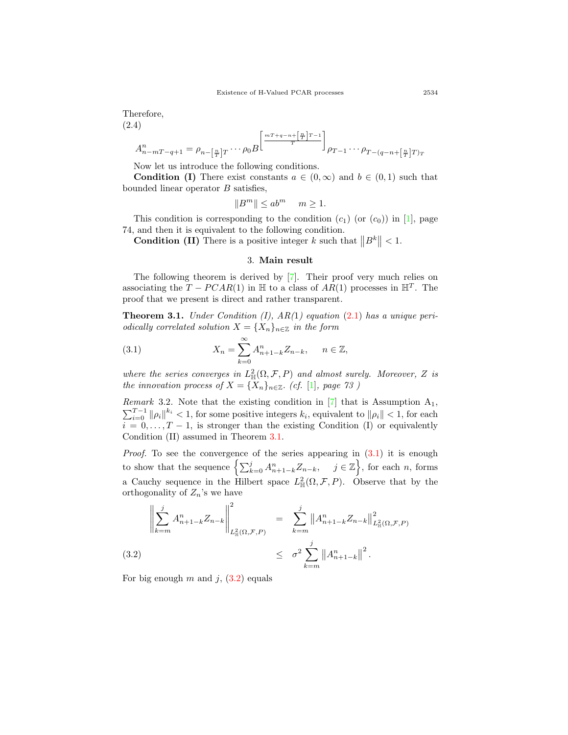Therefore, (2.4)

$$
A_{n-mT-q+1}^{n} = \rho_{n-\left[\frac{n}{T}\right]T} \cdots \rho_0 B^{\left[\frac{mT+q-n+\left[\frac{n}{T}\right]T-1}{T}\right]} \rho_{T-1} \cdots \rho_{T-(q-n+\left[\frac{n}{T}\right]T)T}
$$

Now let us introduce the following conditions.

**Condition (I)** There exist constants  $a \in (0, \infty)$  and  $b \in (0, 1)$  such that bounded linear operator *B* satisfies,

$$
||B^m|| \le ab^m \quad m \ge 1.
$$

This condition is corresponding to the condition  $(c_1)$  (or  $(c_0)$ ) in [[1\]](#page-15-5), page 74, and then it is equivalent to the following condition.

**Condition (II)** There is a positive integer *k* such that  $||B^k|| < 1$ .

## 3. **Main result**

The following theorem is derived by [\[7](#page-15-3)]. Their proof very much relies on associating the  $T - PCAR(1)$  in  $\mathbb{H}$  to a class of  $AR(1)$  processes in  $\mathbb{H}^T$ . The proof that we present is direct and rather transparent.

<span id="page-4-0"></span>**Theorem 3.1.** *Under Condition (I), AR(*1*) equation* [\(2.1\)](#page-3-0) *has a unique periodically correlated solution*  $X = \{X_n\}_{n \in \mathbb{Z}}$  *in the form* 

<span id="page-4-1"></span>(3.1) 
$$
X_n = \sum_{k=0}^{\infty} A_{n+1-k}^n Z_{n-k}, \quad n \in \mathbb{Z},
$$

where the series converges in  $L^2_{\mathbb{H}}(\Omega, \mathcal{F}, P)$  and almost surely. Moreover, Z is *the innovation process of*  $X = \{X_n\}_{n \in \mathbb{Z}}$ *. (cf.* [[1\]](#page-15-5)*, page 73 )* 

*Remark* 3.2. Note that the existing condition in  $[7]$  $[7]$  that is Assumption  $A_1$ ,  $\sum_{i=0}^{T-1} ||\rho_i||^{k_i} < 1$ , for some positive integers  $k_i$ , equivalent to  $||\rho_i|| < 1$ , for each  $i = 0, \ldots, T-1$ , is stronger than the existing Condition (I) or equivalently Condition (II) assumed in Theorem [3.1.](#page-4-0)

*Proof.* To see the convergence of the series appearing in  $(3.1)$  $(3.1)$  it is enough to show that the sequence  $\left\{\sum_{k=0}^{j} A_{n+1-k}^{n} Z_{n-k}, \quad j \in \mathbb{Z}\right\}$ , for each *n*, forms a Cauchy sequence in the Hilbert space  $L^2_{\mathbb{H}}(\Omega,\mathcal{F},P)$ . Observe that by the orthogonality of  $Z_n$ 's we have

<span id="page-4-2"></span>
$$
\left\| \sum_{k=m}^{j} A_{n+1-k}^{n} Z_{n-k} \right\|_{L_{\mathbb{H}}^{2}(\Omega, \mathcal{F}, P)}^{2} = \sum_{k=m}^{j} \left\| A_{n+1-k}^{n} Z_{n-k} \right\|_{L_{\mathbb{H}}^{2}(\Omega, \mathcal{F}, P)}^{2}
$$
\n
$$
\leq \sigma^{2} \sum_{k=m}^{j} \left\| A_{n+1-k}^{n} \right\|^{2}.
$$
\n(3.2)

For big enough  $m$  and  $j$ ,  $(3.2)$  $(3.2)$  equals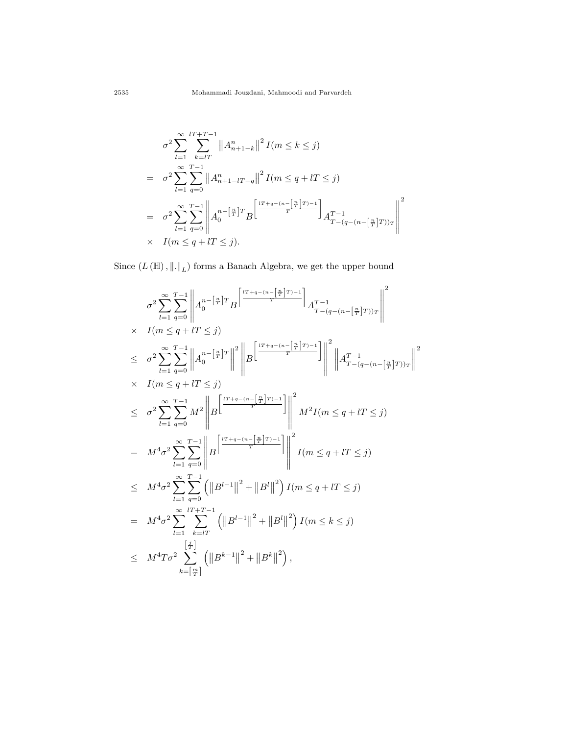$$
\sigma^2 \sum_{l=1}^{\infty} \sum_{k=lT}^{lT+T-1} ||A_{n+1-k}^n||^2 I(m \le k \le j)
$$
  
\n
$$
= \sigma^2 \sum_{l=1}^{\infty} \sum_{q=0}^{T-1} ||A_{n+1-lT-q}^n||^2 I(m \le q + lT \le j)
$$
  
\n
$$
= \sigma^2 \sum_{l=1}^{\infty} \sum_{q=0}^{T-1} ||A_0^{n-[\frac{n}{T}]}T_B^r||^2 \left[\frac{\frac{lT+q-(n-[\frac{n}{T}]}{T})-1}{T}\right] A_{T-(q-(n-[\frac{n}{T}]}T))_T}^{T-1} ||A_{T-(q-(n-[\frac{n}{T}]}T))_T^r||^2
$$
  
\n
$$
\times I(m \le q + lT \le j).
$$

Since  $(L(\mathbb{H}), \|\. \|_L)$  forms a Banach Algebra, we get the upper bound

$$
\sigma^{2} \sum_{l=1}^{\infty} \sum_{q=0}^{T-1} \left\| A_{0}^{n-\left[\frac{n}{T}\right]T} B^{\left[\frac{lT+q-(n-\left[\frac{n}{T}\right]T)-1}{T}\right]} A_{T-(q-(n-\left[\frac{n}{T}\right]T))_{T}}^{T-1} \right\|^{2}
$$
\n
$$
\times I(m \leq q + lT \leq j)
$$
\n
$$
\leq \sigma^{2} \sum_{l=1}^{\infty} \sum_{q=0}^{T-1} \left\| A_{0}^{n-\left[\frac{n}{T}\right]T} \right\|^{2} \left\| B^{\left[\frac{lT+q-(n-\left[\frac{n}{T}\right]T)-1}{T}\right]} \right\|^{2} \left\| A_{T-(q-(n-\left[\frac{n}{T}\right]T))_{T}}^{T-1} \right\|^{2}
$$
\n
$$
\times I(m \leq q + lT \leq j)
$$
\n
$$
\leq \sigma^{2} \sum_{l=1}^{\infty} \sum_{q=0}^{T-1} M^{2} \left\| B^{\left[\frac{lT+q-(n-\left[\frac{n}{T}\right]T)-1}{T}\right]} \right\|^{2} M^{2} I(m \leq q + lT \leq j)
$$
\n
$$
= M^{4} \sigma^{2} \sum_{l=1}^{\infty} \sum_{q=0}^{T-1} \left\| B^{\left[\frac{lT+q-(n-\left[\frac{n}{T}\right]T)-1}{T}\right]} \right\|^{2} I(m \leq q + lT \leq j)
$$
\n
$$
\leq M^{4} \sigma^{2} \sum_{l=1}^{\infty} \sum_{q=0}^{T-1} \left( \left\| B^{l-1} \right\|^{2} + \left\| B^{l} \right\|^{2} \right) I(m \leq q + lT \leq j)
$$
\n
$$
= M^{4} \sigma^{2} \sum_{l=1}^{\infty} \sum_{k=lT}^{lT-1} \left( \left\| B^{l-1} \right\|^{2} + \left\| B^{l} \right\|^{2} \right) I(m \leq k \leq j)
$$
\n
$$
\leq M^{4} T \sigma^{2} \sum_{k=\left[\frac{n}{T}\right]}^{[\frac{r}{T}]} \left( \left\| B^{k-1}
$$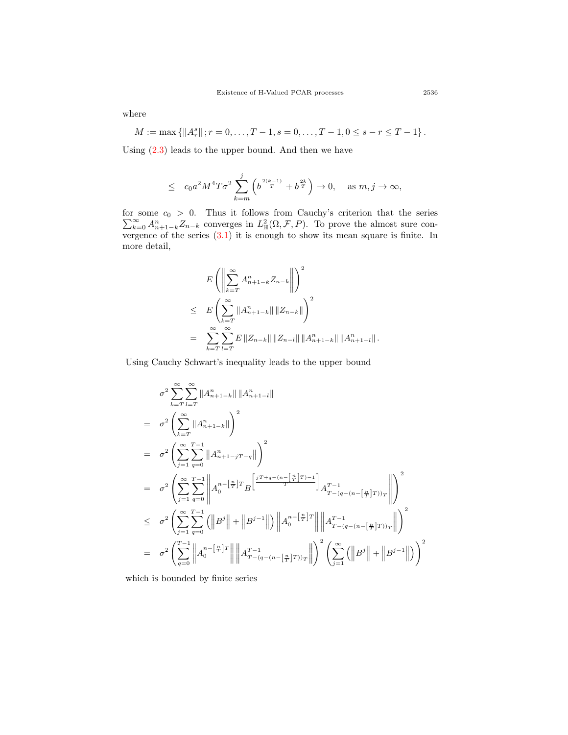where

 $M := \max \{ ||A_r^s|| : r = 0, \ldots, T-1, s = 0, \ldots, T-1, 0 \le s - r \le T-1 \}.$ 

Using  $(2.3)$  leads to the upper bound. And then we have

$$
\leq \quad c_0 a^2 M^4 T \sigma^2 \sum_{k=m}^j \left(b^{\frac{2(k-1)}{T}}+b^{\frac{2k}{T}}\right)\rightarrow 0, \quad \text{ as } m, j\rightarrow \infty,
$$

for some ∑ some  $c_0 > 0$ . Thus it follows from Cauchy's criterion that the series<br>  $\sum_{k=0}^{\infty} A_{n+1-k}^n Z_{n-k}$  converges in  $L^2_{\mathbb{H}}(\Omega, \mathcal{F}, P)$ . To prove the almost sure convergence of the series  $(3.1)$  $(3.1)$  it is enough to show its mean square is finite. In more detail,

$$
E\left(\left\|\sum_{k=T}^{\infty} A_{n+1-k}^{n} Z_{n-k}\right\|\right)^{2}
$$
  
\n
$$
\leq E\left(\sum_{k=T}^{\infty} \|A_{n+1-k}^{n}\| \|Z_{n-k}\|\right)^{2}
$$
  
\n
$$
= \sum_{k=T}^{\infty} \sum_{l=T}^{\infty} E \|Z_{n-k}\| \|Z_{n-l}\| \|A_{n+1-k}^{n}\| \|A_{n+1-l}^{n}\|.
$$

Using Cauchy Schwart's inequality leads to the upper bound

$$
\sigma^{2} \sum_{k=T}^{\infty} \sum_{l=T}^{\infty} ||A_{n+1-k}^{n}|| ||A_{n+1-l}^{n}||
$$
\n
$$
= \sigma^{2} \left( \sum_{k=T}^{\infty} ||A_{n+1-k}^{n}|| \right)^{2}
$$
\n
$$
= \sigma^{2} \left( \sum_{j=1}^{\infty} \sum_{q=0}^{T-1} ||A_{n+1-j}^{n} - q|| \right)^{2}
$$
\n
$$
= \sigma^{2} \left( \sum_{j=1}^{\infty} \sum_{q=0}^{T-1} ||A_{0}^{n} - [\frac{\pi}{T}]^{T} B \left[ \frac{j^{T+q-(n-\left[\frac{n}{T}\right]T)-1}{T} \right] A_{T-(q-(n-\left[\frac{n}{T}\right]T))_{T}}^{T-1} || \right)^{2}
$$
\n
$$
\leq \sigma^{2} \left( \sum_{j=1}^{\infty} \sum_{q=0}^{T-1} (||B^{j}|| + ||B^{j-1}||) ||A_{0}^{n-\left[\frac{n}{T}\right]T} || ||A_{T-(q-(n-\left[\frac{n}{T}\right]T))_{T}}^{T-1} || \right)^{2}
$$
\n
$$
= \sigma^{2} \left( \sum_{q=0}^{T-1} ||A_{0}^{n-\left[\frac{n}{T}\right]T} || ||A_{T-(q-(n-\left[\frac{n}{T}\right]T))_{T}}^{T-1} || \right)^{2} \left( \sum_{j=1}^{\infty} (||B^{j}|| + ||B^{j-1}||) \right)^{2}
$$

which is bounded by finite series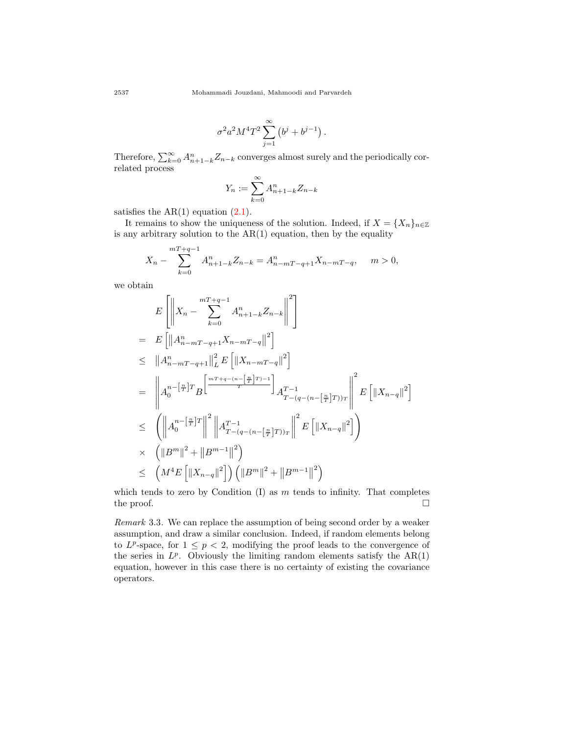$$
\sigma^2 a^2 M^4 T^2 \sum_{j=1}^{\infty} (b^j + b^{j-1}).
$$

Therefore,  $\sum_{k=0}^{\infty} A_{n+1-k}^n Z_{n-k}$  converges almost surely and the periodically correlated process

$$
Y_n := \sum_{k=0}^{\infty} A_{n+1-k}^n Z_{n-k}
$$

satisfies the  $AR(1)$  equation  $(2.1)$  $(2.1)$ .

It remains to show the uniqueness of the solution. Indeed, if  $X = \{X_n\}_{n \in \mathbb{Z}}$ is any arbitrary solution to the  $AR(1)$  equation, then by the equality

$$
X_n - \sum_{k=0}^{m+q-1} A_{n+1-k}^n Z_{n-k} = A_{n-m+1}^n X_{n-m+q}, \quad m > 0,
$$

we obtain

$$
E\left[\left\|X_{n}-\sum_{k=0}^{mT+q-1}A_{n+1-k}^{n}Z_{n-k}\right\|^{2}\right]
$$
\n
$$
= E\left[\left\|A_{n-mT-q+1}^{n}X_{n-mT-q}\right\|^{2}\right]
$$
\n
$$
\leq \left\|A_{n-mT-q+1}^{n}\right\|_{L}^{2} E\left[\left\|X_{n-mT-q}\right\|^{2}\right]
$$
\n
$$
= \left\|A_{0}^{n-\left[\frac{n}{T}\right]T}B\left[\frac{\frac{mT+q-(n-\left[\frac{n}{T}\right]T)-1}{T}\right]A_{T-(q-(n-\left[\frac{n}{T}\right]T))T}^{T}\right\|^{2} E\left[\left\|X_{n-q}\right\|^{2}\right]
$$
\n
$$
\leq \left(\left\|A_{0}^{n-\left[\frac{n}{T}\right]T}\right\|^{2}\left\|A_{T-(q-(n-\left[\frac{n}{T}\right]T))T}^{T}\right\|^{2} E\left[\left\|X_{n-q}\right\|^{2}\right]\right)
$$
\n
$$
\times \left(\left\|B^{m}\right\|^{2}+\left\|B^{m-1}\right\|^{2}\right)
$$
\n
$$
\leq \left(M^{4}E\left[\left\|X_{n-q}\right\|^{2}\right]\right)\left(\left\|B^{m}\right\|^{2}+\left\|B^{m-1}\right\|^{2}\right)
$$

which tends to zero by Condition (I) as *m* tends to infinity. That completes the proof.  $\Box$ 

*Remark* 3.3*.* We can replace the assumption of being second order by a weaker assumption, and draw a similar conclusion. Indeed, if random elements belong to  $L^p$ -space, for  $1 \leq p < 2$ , modifying the proof leads to the convergence of the series in  $L^p$ . Obviously the limiting random elements satisfy the  $AR(1)$ equation, however in this case there is no certainty of existing the covariance operators.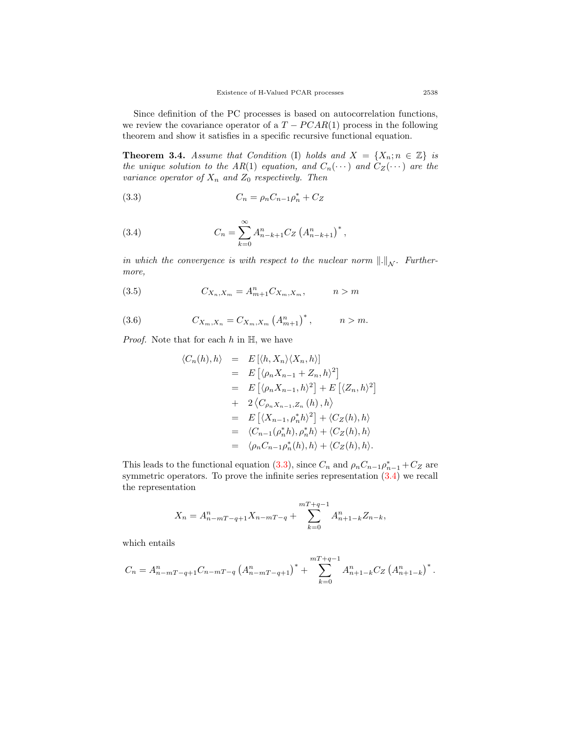Since definition of the PC processes is based on autocorrelation functions, we review the covariance operator of a  $T - PCAR(1)$  process in the following theorem and show it satisfies in a specific recursive functional equation.

**Theorem 3.4.** *Assume that Condition* (I) *holds and*  $X = \{X_n; n \in \mathbb{Z}\}\$ is *the unique solution to the AR(1) equation, and*  $C_n(\cdots)$  *and*  $C_Z(\cdots)$  *are the variance operator of X<sup>n</sup> and Z*<sup>0</sup> *respectively. Then*

<span id="page-8-0"></span>(3.3) 
$$
C_n = \rho_n C_{n-1} \rho_n^* + C_Z
$$

<span id="page-8-1"></span>(3.4) 
$$
C_n = \sum_{k=0}^{\infty} A_{n-k+1}^n C_Z \left( A_{n-k+1}^n \right)^*,
$$

*in which the convergence is with respect to the nuclear norm*  $\|\cdot\|_{\mathcal{N}}$ . Further*more,*

(3.5) 
$$
C_{X_n,X_m} = A_{m+1}^n C_{X_m,X_m}, \qquad n > m
$$

(3.6) 
$$
C_{X_m,X_n} = C_{X_m,X_m} (A_{m+1}^n)^*, \qquad n > m.
$$

*Proof.* Note that for each *h* in H, we have

<span id="page-8-2"></span>
$$
\langle C_n(h), h \rangle = E[\langle h, X_n \rangle \langle X_n, h \rangle]
$$
  
\n
$$
= E[\langle \rho_n X_{n-1} + Z_n, h \rangle^2]
$$
  
\n
$$
= E[\langle \rho_n X_{n-1}, h \rangle^2] + E[\langle Z_n, h \rangle^2]
$$
  
\n
$$
+ 2 \langle C_{\rho_n X_{n-1}, Z_n} (h), h \rangle
$$
  
\n
$$
= E[\langle X_{n-1}, \rho_n^* h \rangle^2] + \langle C_Z(h), h \rangle
$$
  
\n
$$
= \langle C_{n-1}(\rho_n^* h), \rho_n^* h \rangle + \langle C_Z(h), h \rangle
$$
  
\n
$$
= \langle \rho_n C_{n-1} \rho_n^*(h), h \rangle + \langle C_Z(h), h \rangle.
$$

This leads to the functional equation ([3.3](#page-8-0)), since  $C_n$  and  $\rho_n C_{n-1} \rho_{n-1}^* + C_Z$  are symmetric operators. To prove the infinite series representation ([3.4\)](#page-8-1) we recall the representation

$$
X_n = A_{n-mT-q+1}^n X_{n-mT-q} + \sum_{k=0}^{mT+q-1} A_{n+1-k}^n Z_{n-k},
$$

which entails

$$
C_n = A_{n-mT-q+1}^n C_{n-mT-q} (A_{n-mT-q+1}^n)^* + \sum_{k=0}^{mT+q-1} A_{n+1-k}^n C_Z (A_{n+1-k}^n)^*.
$$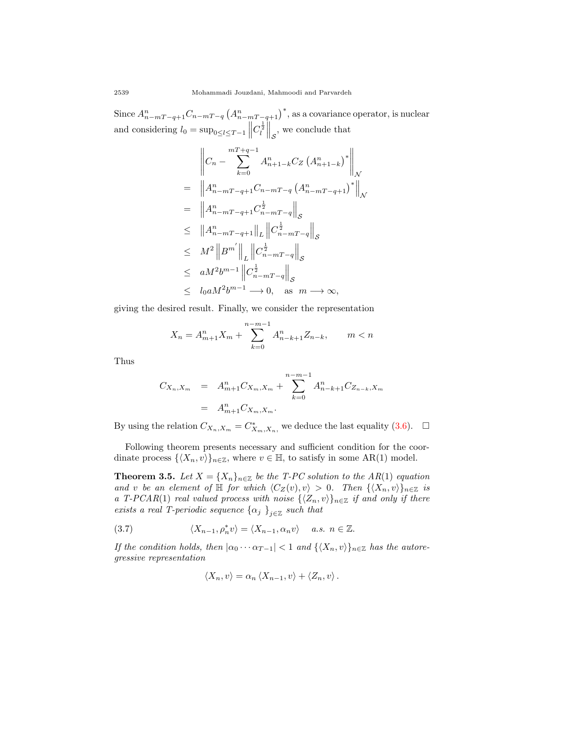Since  $A_{n-mT-q+1}^n C_{n-mT-q} (A_{n-mT-q+1}^n)^*$ , as a covariance operator, is nuclear and considering  $l_0 = \sup_{0 \le l \le T-1} \left\| \right\|$  $C_l^{\frac{1}{2}}\Big\|_{\mathcal{S}}$ , we conclude that

$$
\begin{aligned}\n&\left\| C_{n} - \sum_{k=0}^{mT+q-1} A_{n+1-k}^{n} C_{Z} \left( A_{n+1-k}^{n} \right)^{*} \right\|_{\mathcal{N}} \\
&= \left\| A_{n-mT-q+1}^{n} C_{n-mT-q} \left( A_{n-mT-q+1}^{n} \right)^{*} \right\|_{\mathcal{N}} \\
&= \left\| A_{n-mT-q+1}^{n} C_{n-mT-q}^{1} \right\|_{\mathcal{S}} \\
&\leq \| A_{n-mT-q+1}^{n} \|_{L} \left\| C_{n-mT-q}^{1} \right\|_{\mathcal{S}} \\
&\leq M^{2} \left\| B^{m'} \right\|_{L} \left\| C_{n-mT-q}^{1} \right\|_{\mathcal{S}} \\
&\leq aM^{2} b^{m-1} \left\| C_{n-mT-q}^{1} \right\|_{\mathcal{S}} \\
&\leq l_{0} aM^{2} b^{m-1} \longrightarrow 0, \text{ as } m \longrightarrow \infty,\n\end{aligned}
$$

giving the desired result. Finally, we consider the representation

$$
X_n = A_{m+1}^n X_m + \sum_{k=0}^{n-m-1} A_{n-k+1}^n Z_{n-k}, \qquad m < n
$$

Thus

$$
C_{X_n, X_m} = A_{m+1}^n C_{X_m, X_m} + \sum_{k=0}^{n-m-1} A_{n-k+1}^n C_{Z_{n-k}, X_m}
$$
  
=  $A_{m+1}^n C_{X_m, X_m}$ .

By using the relation  $C_{X_n,X_m} = C_{X_m,X_n}^*$ , we deduce the last equality ([3.6\)](#page-8-2).  $\Box$ 

Following theorem presents necessary and sufficient condition for the coordinate process  $\{\langle X_n, v \rangle\}_{n \in \mathbb{Z}}$ , where  $v \in \mathbb{H}$ , to satisfy in some AR(1) model.

<span id="page-9-1"></span>**Theorem 3.5.** *Let*  $X = \{X_n\}_{n \in \mathbb{Z}}$  *be the T-PC solution to the AR(1) equation and v be an element of*  $\mathbb{H}$  *for which*  $\langle C_Z(v), v \rangle > 0$ *. Then*  $\{\langle X_n, v \rangle\}_{n \in \mathbb{Z}}$  *is a T*-PCAR(1) *real valued process with noise*  $\{\langle Z_n, v \rangle\}_{n \in \mathbb{Z}}$  *if and only if there exists a real T-periodic sequence*  $\{\alpha_j\}_{j\in\mathbb{Z}}$  *such that* 

(3.7) 
$$
\langle X_{n-1}, \rho_n^* v \rangle = \langle X_{n-1}, \alpha_n v \rangle \quad a.s. \ n \in \mathbb{Z}.
$$

*If the condition holds, then*  $|\alpha_0 \cdots \alpha_{T-1}| < 1$  *and*  $\{\langle X_n, v \rangle\}_{n \in \mathbb{Z}}$  *has the autoregressive representation*

<span id="page-9-0"></span>
$$
\langle X_n, v \rangle = \alpha_n \langle X_{n-1}, v \rangle + \langle Z_n, v \rangle.
$$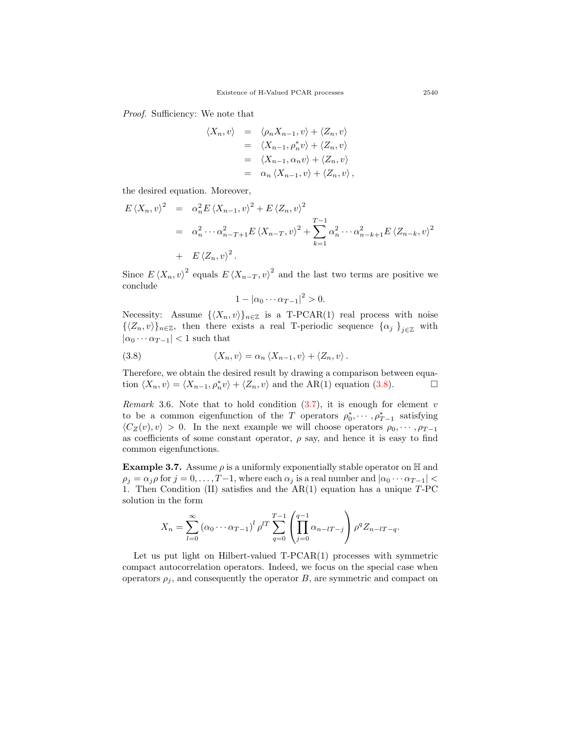*Proof.* Sufficiency: We note that

$$
\langle X_n, v \rangle = \langle \rho_n X_{n-1}, v \rangle + \langle Z_n, v \rangle
$$
  
\n
$$
= \langle X_{n-1}, \rho_n^* v \rangle + \langle Z_n, v \rangle
$$
  
\n
$$
= \langle X_{n-1}, \alpha_n v \rangle + \langle Z_n, v \rangle
$$
  
\n
$$
= \alpha_n \langle X_{n-1}, v \rangle + \langle Z_n, v \rangle,
$$

the desired equation. Moreover,

$$
E \langle X_n, v \rangle^2 = \alpha_n^2 E \langle X_{n-1}, v \rangle^2 + E \langle Z_n, v \rangle^2
$$
  
=  $\alpha_n^2 \cdots \alpha_{n-T+1}^2 E \langle X_{n-T}, v \rangle^2 + \sum_{k=1}^{T-1} \alpha_n^2 \cdots \alpha_{n-k+1}^2 E \langle Z_{n-k}, v \rangle^2$   
+  $E \langle Z_n, v \rangle^2$ .

Since  $E \langle X_n, v \rangle^2$  equals  $E \langle X_{n-T}, v \rangle^2$  and the last two terms are positive we conclude

<span id="page-10-0"></span>
$$
1 - |\alpha_0 \cdots \alpha_{T-1}|^2 > 0.
$$

Necessity: Assume  $\{\langle X_n, v \rangle\}_{n \in \mathbb{Z}}$  is a T-PCAR(1) real process with noise  $\{\langle Z_n, v \rangle\}_{n \in \mathbb{Z}}$ , then there exists a real T-periodic sequence  $\{\alpha_j\}_{j \in \mathbb{Z}}$  with  $| \alpha_0 \cdots \alpha_{T-1} |$  < 1 such that

(3.8) 
$$
\langle X_n, v \rangle = \alpha_n \langle X_{n-1}, v \rangle + \langle Z_n, v \rangle.
$$

Therefore, we obtain the desired result by drawing a comparison between equation  $\langle X_n, v \rangle = \langle X_{n-1}, \rho_n^* v \rangle + \langle Z_n, v \rangle$  and the AR(1) equation ([3.8](#page-10-0)). □

*Remark* 3.6*.* Note that to hold condition [\(3.7](#page-9-0)), it is enough for element *v* to be a common eigenfunction of the *T* operators  $\rho_0^*, \dots, \rho_{T-1}^*$  satisfying  $\langle C_Z(v), v \rangle > 0$ . In the next example we will choose operators  $\rho_0, \dots, \rho_{T-1}$ as coefficients of some constant operator,  $\rho$  say, and hence it is easy to find common eigenfunctions.

**Example 3.7.** Assume  $\rho$  is a uniformly exponentially stable operator on  $\mathbb{H}$  and  $\rho_j = \alpha_j \rho$  for  $j = 0, \ldots, T-1$ , where each  $\alpha_j$  is a real number and  $|\alpha_0 \cdots \alpha_{T-1}|$ 1. Then Condition (II) satisfies and the AR(1) equation has a unique *T*-PC solution in the form

$$
X_n = \sum_{l=0}^{\infty} (\alpha_0 \cdots \alpha_{T-1})^l \rho^{lT} \sum_{q=0}^{T-1} \left( \prod_{j=0}^{q-1} \alpha_{n-lT-j} \right) \rho^q Z_{n-lT-q}.
$$

Let us put light on Hilbert-valued T-PCAR(1) processes with symmetric compact autocorrelation operators. Indeed, we focus on the special case when operators  $\rho_j$ , and consequently the operator *B*, are symmetric and compact on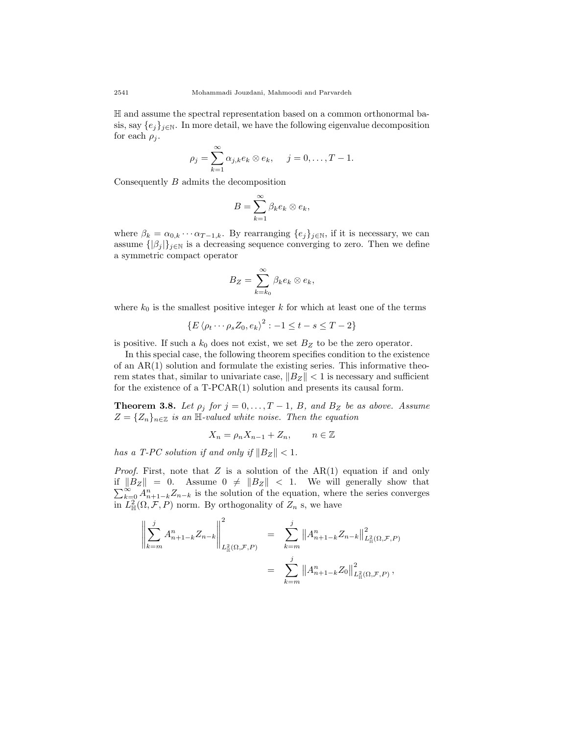H and assume the spectral representation based on a common orthonormal basis, say  ${e_j}_{j \in \mathbb{N}}$ . In more detail, we have the following eigenvalue decomposition for each  $\rho_j$ .

$$
\rho_j = \sum_{k=1}^{\infty} \alpha_{j,k} e_k \otimes e_k, \quad j = 0, \dots, T-1.
$$

Consequently *B* admits the decomposition

$$
B=\sum_{k=1}^{\infty}\beta_k e_k\otimes e_k,
$$

where  $\beta_k = \alpha_{0,k} \cdots \alpha_{T-1,k}$ . By rearranging  $\{e_j\}_{j \in \mathbb{N}}$ , if it is necessary, we can assume  $\{|\beta_i|\}_{i\in\mathbb{N}}$  is a decreasing sequence converging to zero. Then we define a symmetric compact operator

$$
B_Z = \sum_{k=k_0}^{\infty} \beta_k e_k \otimes e_k,
$$

where  $k_0$  is the smallest positive integer  $k$  for which at least one of the terms

$$
\{E \langle \rho_t \cdots \rho_s Z_0, e_k \rangle^2 : -1 \le t - s \le T - 2\}
$$

is positive. If such a  $k_0$  does not exist, we set  $B_Z$  to be the zero operator.

In this special case, the following theorem specifies condition to the existence of an AR(1) solution and formulate the existing series. This informative theorem states that, similar to univariate case, *∥BZ∥ <* 1 is necessary and sufficient for the existence of a T-PCAR(1) solution and presents its causal form.

**Theorem 3.8.** *Let*  $\rho_j$  *for*  $j = 0, \ldots, T - 1$ , *B*, and *B*<sub>*Z*</sub> *be as above. Assume*  $Z = \{Z_n\}_{n \in \mathbb{Z}}$  *is an* H-valued white noise. Then the equation

$$
X_n = \rho_n X_{n-1} + Z_n, \qquad n \in \mathbb{Z}
$$

*has a T-PC solution if and only if*  $||B_Z|| < 1$ .

*Proof.* First, note that *Z* is a solution of the AR(1) equation if and only  $|B_Z|| = 0$ . Assume  $0 \neq ||B_Z|| < 1$ . We will generally show that  $\sum_{k=0}^{\infty} A_{n+1-k}^n Z_{n-k}$  is the solution of the equation, where the series converges in  $L^2_{\mathbb{H}}(\Omega, \mathcal{F}, P)$  norm. By orthogonality of  $Z_n$  s, we have

$$
\left\| \sum_{k=m}^{j} A_{n+1-k}^{n} Z_{n-k} \right\|_{L_{\mathbb{H}}^{2}(\Omega, \mathcal{F}, P)}^{2} = \sum_{k=m}^{j} \left\| A_{n+1-k}^{n} Z_{n-k} \right\|_{L_{\mathbb{H}}^{2}(\Omega, \mathcal{F}, P)}^{2}
$$

$$
= \sum_{k=m}^{j} \left\| A_{n+1-k}^{n} Z_{0} \right\|_{L_{\mathbb{H}}^{2}(\Omega, \mathcal{F}, P)}^{2},
$$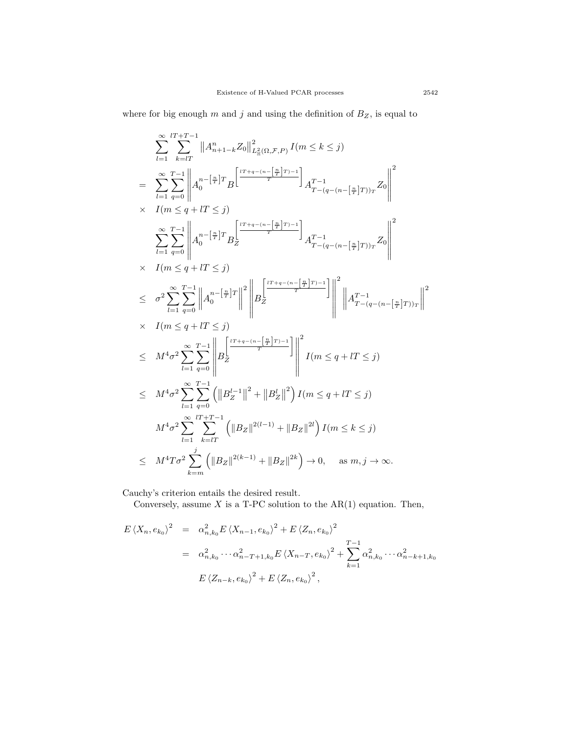where for big enough  $m$  and  $j$  and using the definition of  $B_Z$ , is equal to

$$
\sum_{l=1}^{\infty} \sum_{k=1}^{lT+T-1} ||A_{n+1-k}^{n} Z_{0}||_{L_{\mathbb{H}}^{2}(\Omega,\mathcal{F},P)}^{2} I(m \leq k \leq j)
$$
\n
$$
= \sum_{l=1}^{\infty} \sum_{q=0}^{T-1} ||A_{0}^{n-[\frac{n}{T}]}T_{B}|^{2} \left[\frac{t^{T+q-(n-\left[\frac{n}{T}+T\right)-1}}{T}\right]_{A_{T-(q-(n-\left[\frac{n}{T}+T\right))_{T}}^{2}Z_{0}}\right]^{2}
$$
\n
$$
\times I(m \leq q + lT \leq j)
$$
\n
$$
\sum_{l=1}^{\infty} \sum_{q=0}^{T-1} ||A_{0}^{n-[\frac{n}{T}]}T_{B} \sum_{l} \frac{t^{T+q-(n-\left[\frac{n}{T}+T\right)-1}}{T}\right]_{A_{T-(q-(n-\left[\frac{n}{T}+T\right))_{T}}^{2}Z_{0}} \Bigg|^{2}
$$
\n
$$
\times I(m \leq q + lT \leq j)
$$
\n
$$
\leq \sigma^{2} \sum_{l=1}^{\infty} \sum_{q=0}^{T-1} ||A_{0}^{n-[\frac{n}{T}]}T||^{2} ||B_{Z} \sum_{l} \frac{t^{T+q-(n-\left[\frac{n}{T}+T\right)-1}}{T}\right]_{l}^{2} ||A_{T-(q-(n-\left[\frac{n}{T}+T\right))_{T}}^{2}||^{2}
$$
\n
$$
\times I(m \leq q + lT \leq j)
$$
\n
$$
\leq M^{4}\sigma^{2} \sum_{l=1}^{\infty} \sum_{q=0}^{T-1} \left( ||B_{Z}^{l-1}||^{2} + ||B_{Z}^{l}||^{2} \right) I(m \leq q + lT \leq j)
$$
\n
$$
M^{4}\sigma^{2} \sum_{l=1}^{T} \sum_{k=lT}^{T-1} \left( ||B_{Z}||^{2(l-1)} + ||B_{Z}||^{2l} \right) I(m \leq k \leq j)
$$
\n
$$
\leq M^{4}T\sigma^{2} \sum_{k=m} \frac{t}{||B_{Z}||^{2(k-1)}} + ||B_{Z}||^{2
$$

Cauchy's criterion entails the desired result.

Conversely, assume  $X$  is a T-PC solution to the  $AR(1)$  equation. Then,

$$
E \langle X_n, e_{k_0} \rangle^2 = \alpha_{n,k_0}^2 E \langle X_{n-1}, e_{k_0} \rangle^2 + E \langle Z_n, e_{k_0} \rangle^2
$$
  
=  $\alpha_{n,k_0}^2 \cdots \alpha_{n-T+1,k_0}^2 E \langle X_{n-T}, e_{k_0} \rangle^2 + \sum_{k=1}^{T-1} \alpha_{n,k_0}^2 \cdots \alpha_{n-k+1,k_0}^2$   

$$
E \langle Z_{n-k}, e_{k_0} \rangle^2 + E \langle Z_n, e_{k_0} \rangle^2,
$$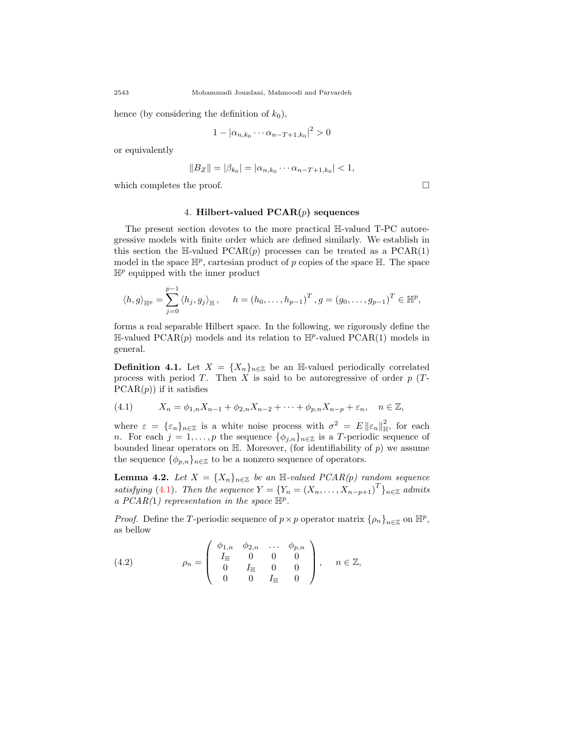hence (by considering the definition of  $k_0$ ),

$$
1 - |\alpha_{n,k_0} \cdots \alpha_{n-T+1,k_0}|^2 > 0
$$

or equivalently

$$
||B_Z|| = |\beta_{k_0}| = |\alpha_{n,k_0} \cdots \alpha_{n-T+1,k_0}| < 1,
$$

which completes the proof.  $\Box$ 

# 4. **Hilbert-valued PCAR(***p***) sequences**

The present section devotes to the more practical H-valued T-PC autoregressive models with finite order which are defined similarly. We establish in this section the H-valued  $PCAR(p)$  processes can be treated as a  $PCAR(1)$ model in the space  $\mathbb{H}^p$ , cartesian product of *p* copies of the space  $\mathbb{H}$ . The space  $\mathbb{H}^p$  equipped with the inner product

$$
\langle h, g \rangle_{\mathbb{H}^p} = \sum_{j=0}^{p-1} \langle h_j, g_j \rangle_{\mathbb{H}}, \quad h = (h_0, \dots, h_{p-1})^T, g = (g_0, \dots, g_{p-1})^T \in \mathbb{H}^p,
$$

forms a real separable Hilbert space. In the following, we rigorously define the  $\mathbb{H}\text{-valued PCAR}(p)$  models and its relation to  $\mathbb{H}^p\text{-valued PCAR}(1)$  models in general.

**Definition 4.1.** Let  $X = \{X_n\}_{n \in \mathbb{Z}}$  be an H-valued periodically correlated process with period *T*. Then *X* is said to be autoregressive of order *p* (*T*- $PCAR(p)$  if it satisfies

<span id="page-13-0"></span>(4.1) 
$$
X_n = \phi_{1,n} X_{n-1} + \phi_{2,n} X_{n-2} + \dots + \phi_{p,n} X_{n-p} + \varepsilon_n, \quad n \in \mathbb{Z},
$$

where  $\varepsilon = {\varepsilon_n}_{n \in \mathbb{Z}}$  is a white noise process with  $\sigma^2 = E ||\varepsilon_n||_{\mathbb{H}}^2$  $\frac{2}{\mathbb{H}},$  for each *n*. For each  $j = 1, \ldots, p$  the sequence  $\{\phi_{j,n}\}_{n \in \mathbb{Z}}$  is a *T*-periodic sequence of bounded linear operators on  $\mathbb{H}$ . Moreover, (for identifiability of p) we assume the sequence  ${\phi_{p,n}}_{n\in\mathbb{Z}}$  to be a nonzero sequence of operators.

<span id="page-13-2"></span>**Lemma 4.2.** *Let*  $X = \{X_n\}_{n \in \mathbb{Z}}$  *be an* H-valued  $PCAR(p)$  random sequence *satisfying* [\(4.1](#page-13-0))*. Then the sequence*  $Y = \{Y_n = (X_n, \ldots, X_{n-p+1})^T\}_{n \in \mathbb{Z}}$  *admits a PCAR(*1*) representation in the space* H*<sup>p</sup> .*

*Proof.* Define the *T*-periodic sequence of  $p \times p$  operator matrix  $\{\rho_n\}_{n \in \mathbb{Z}}$  on  $\mathbb{H}^p$ , as bellow

<span id="page-13-1"></span>(4.2) 
$$
\rho_n = \begin{pmatrix} \phi_{1,n} & \phi_{2,n} & \dots & \phi_{p,n} \\ I_{\mathbb{H}} & 0 & 0 & 0 \\ 0 & I_{\mathbb{H}} & 0 & 0 \\ 0 & 0 & I_{\mathbb{H}} & 0 \end{pmatrix}, \quad n \in \mathbb{Z},
$$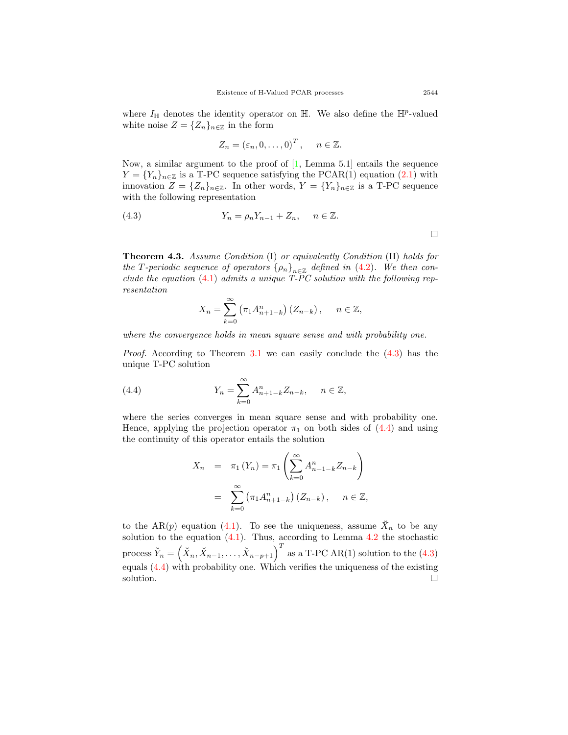where  $I_{\mathbb{H}}$  denotes the identity operator on  $\mathbb{H}$ . We also define the  $\mathbb{H}^p$ -valued white noise  $Z = \{Z_n\}_{n \in \mathbb{Z}}$  in the form

<span id="page-14-0"></span>
$$
Z_n = (\varepsilon_n, 0, \dots, 0)^T, \quad n \in \mathbb{Z}.
$$

Now, a similar argument to the proof of [\[1](#page-15-5), Lemma 5.1] entails the sequence  $Y = \{Y_n\}_{n \in \mathbb{Z}}$  is a T-PC sequence satisfying the PCAR(1) equation ([2.1\)](#page-3-0) with innovation  $Z = \{Z_n\}_{n \in \mathbb{Z}}$ . In other words,  $Y = \{Y_n\}_{n \in \mathbb{Z}}$  is a T-PC sequence with the following representation

(4.3) 
$$
Y_n = \rho_n Y_{n-1} + Z_n, \quad n \in \mathbb{Z}.
$$

**Theorem 4.3.** *Assume Condition* (I) *or equivalently Condition* (II) *holds for the T*-periodic sequence of operators  $\{\rho_n\}_{n \in \mathbb{Z}}$  defined in ([4.2](#page-13-1)). We then con*clude the equation* ([4.1\)](#page-13-0) *admits a unique T-PC solution with the following representation*

$$
X_n = \sum_{k=0}^{\infty} \left( \pi_1 A_{n+1-k}^n \right) (Z_{n-k}), \quad n \in \mathbb{Z},
$$

*where the convergence holds in mean square sense and with probability one.*

*Proof.* According to Theorem [3.1](#page-4-0) we can easily conclude the  $(4.3)$  $(4.3)$  $(4.3)$  has the unique T-PC solution

(4.4) 
$$
Y_n = \sum_{k=0}^{\infty} A_{n+1-k}^n Z_{n-k}, \quad n \in \mathbb{Z},
$$

where the series converges in mean square sense and with probability one. Hence, applying the projection operator  $\pi_1$  on both sides of ([4.4](#page-14-1)) and using the continuity of this operator entails the solution

<span id="page-14-1"></span>
$$
X_{n} = \pi_{1}(Y_{n}) = \pi_{1}\left(\sum_{k=0}^{\infty} A_{n+1-k}^{n} Z_{n-k}\right)
$$
  
= 
$$
\sum_{k=0}^{\infty} (\pi_{1} A_{n+1-k}^{n}) (Z_{n-k}), \quad n \in \mathbb{Z},
$$

to the AR(*p*) equation ([4.1](#page-13-0)). To see the uniqueness, assume  $\breve{X}_n$  to be any solution to the equation  $(4.1)$ . Thus, according to Lemma  $4.2$  the stochastic  $\text{process } \breve{Y}_n = \left( \breve{X}_n, \breve{X}_{n-1}, \ldots, \breve{X}_{n-p+1} \right)^T \text{ as a T-PC AR(1) solution to the (4.3)}$  $\text{process } \breve{Y}_n = \left( \breve{X}_n, \breve{X}_{n-1}, \ldots, \breve{X}_{n-p+1} \right)^T \text{ as a T-PC AR(1) solution to the (4.3)}$  $\text{process } \breve{Y}_n = \left( \breve{X}_n, \breve{X}_{n-1}, \ldots, \breve{X}_{n-p+1} \right)^T \text{ as a T-PC AR(1) solution to the (4.3)}$ equals ([4.4\)](#page-14-1) with probability one. Which verifies the uniqueness of the existing solution.  $\Box$